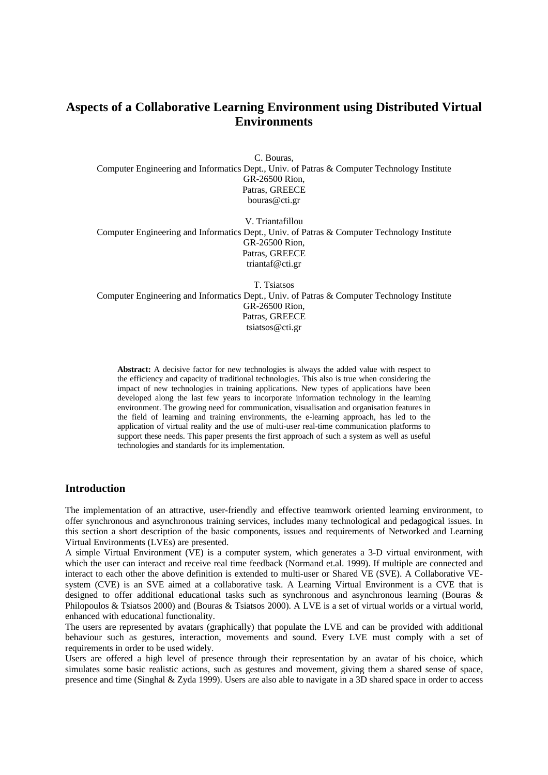# **Aspects of a Collaborative Learning Environment using Distributed Virtual Environments**

C. Bouras, Computer Engineering and Informatics Dept., Univ. of Patras & Computer Technology Institute GR-26500 Rion, Patras, GREECE bouras@cti.gr

V. Triantafillou Computer Engineering and Informatics Dept., Univ. of Patras & Computer Technology Institute GR-26500 Rion, Patras, GREECE triantaf@cti.gr

T. Tsiatsos Computer Engineering and Informatics Dept., Univ. of Patras & Computer Technology Institute GR-26500 Rion, Patras, GREECE tsiatsos@cti.gr

**Abstract:** A decisive factor for new technologies is always the added value with respect to the efficiency and capacity of traditional technologies. This also is true when considering the impact of new technologies in training applications. New types of applications have been developed along the last few years to incorporate information technology in the learning environment. The growing need for communication, visualisation and organisation features in the field of learning and training environments, the e-learning approach, has led to the application of virtual reality and the use of multi-user real-time communication platforms to support these needs. This paper presents the first approach of such a system as well as useful technologies and standards for its implementation.

## **Introduction**

The implementation of an attractive, user-friendly and effective teamwork oriented learning environment, to offer synchronous and asynchronous training services, includes many technological and pedagogical issues. In this section a short description of the basic components, issues and requirements of Networked and Learning Virtual Environments (LVEs) are presented.

A simple Virtual Environment (VE) is a computer system, which generates a 3-D virtual environment, with which the user can interact and receive real time feedback (Normand et.al. 1999). If multiple are connected and interact to each other the above definition is extended to multi-user or Shared VE (SVE). A Collaborative VEsystem (CVE) is an SVE aimed at a collaborative task. A Learning Virtual Environment is a CVE that is designed to offer additional educational tasks such as synchronous and asynchronous learning (Bouras & Philopoulos & Tsiatsos 2000) and (Bouras & Tsiatsos 2000). A LVE is a set of virtual worlds or a virtual world, enhanced with educational functionality.

The users are represented by avatars (graphically) that populate the LVE and can be provided with additional behaviour such as gestures, interaction, movements and sound. Every LVE must comply with a set of requirements in order to be used widely.

Users are offered a high level of presence through their representation by an avatar of his choice, which simulates some basic realistic actions, such as gestures and movement, giving them a shared sense of space, presence and time (Singhal & Zyda 1999). Users are also able to navigate in a 3D shared space in order to access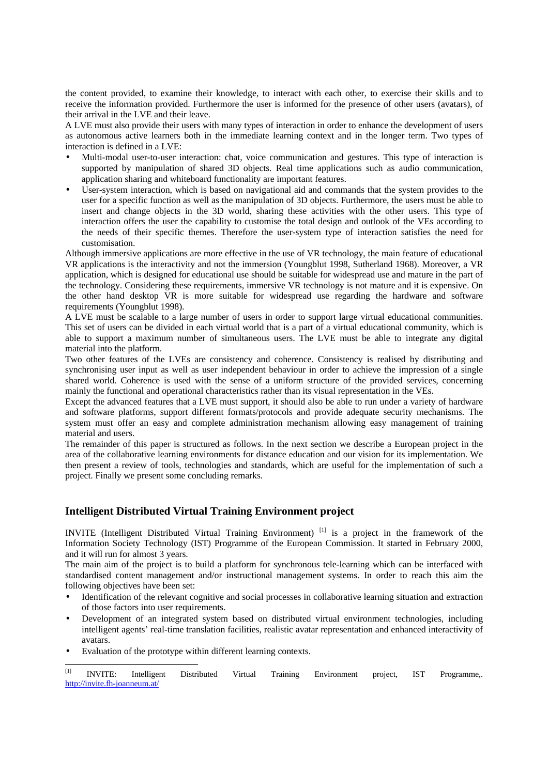the content provided, to examine their knowledge, to interact with each other, to exercise their skills and to receive the information provided. Furthermore the user is informed for the presence of other users (avatars), of their arrival in the LVE and their leave.

A LVE must also provide their users with many types of interaction in order to enhance the development of users as autonomous active learners both in the immediate learning context and in the longer term. Two types of interaction is defined in a LVE:

- Multi-modal user-to-user interaction: chat, voice communication and gestures. This type of interaction is supported by manipulation of shared 3D objects. Real time applications such as audio communication, application sharing and whiteboard functionality are important features.
- User-system interaction, which is based on navigational aid and commands that the system provides to the user for a specific function as well as the manipulation of 3D objects. Furthermore, the users must be able to insert and change objects in the 3D world, sharing these activities with the other users. This type of interaction offers the user the capability to customise the total design and outlook of the VEs according to the needs of their specific themes. Therefore the user-system type of interaction satisfies the need for customisation.

Although immersive applications are more effective in the use of VR technology, the main feature of educational VR applications is the interactivity and not the immersion (Youngblut 1998, Sutherland 1968). Moreover, a VR application, which is designed for educational use should be suitable for widespread use and mature in the part of the technology. Considering these requirements, immersive VR technology is not mature and it is expensive. On the other hand desktop VR is more suitable for widespread use regarding the hardware and software requirements (Youngblut 1998).

A LVE must be scalable to a large number of users in order to support large virtual educational communities. This set of users can be divided in each virtual world that is a part of a virtual educational community, which is able to support a maximum number of simultaneous users. The LVE must be able to integrate any digital material into the platform.

Two other features of the LVEs are consistency and coherence. Consistency is realised by distributing and synchronising user input as well as user independent behaviour in order to achieve the impression of a single shared world. Coherence is used with the sense of a uniform structure of the provided services, concerning mainly the functional and operational characteristics rather than its visual representation in the VEs.

Except the advanced features that a LVE must support, it should also be able to run under a variety of hardware and software platforms, support different formats/protocols and provide adequate security mechanisms. The system must offer an easy and complete administration mechanism allowing easy management of training material and users.

The remainder of this paper is structured as follows. In the next section we describe a European project in the area of the collaborative learning environments for distance education and our vision for its implementation. We then present a review of tools, technologies and standards, which are useful for the implementation of such a project. Finally we present some concluding remarks.

# **Intelligent Distributed Virtual Training Environment project**

INVITE (Intelligent Distributed Virtual Training Environment) [1] is a project in the framework of the Information Society Technology (IST) Programme of the European Commission. It started in February 2000, and it will run for almost 3 years.

The main aim of the project is to build a platform for synchronous tele-learning which can be interfaced with standardised content management and/or instructional management systems. In order to reach this aim the following objectives have been set:

- Identification of the relevant cognitive and social processes in collaborative learning situation and extraction of those factors into user requirements.
- Development of an integrated system based on distributed virtual environment technologies, including intelligent agents' real-time translation facilities, realistic avatar representation and enhanced interactivity of avatars.
- Evaluation of the prototype within different learning contexts.

 $[1]$ [1] INVITE: Intelligent Distributed Virtual Training Environment project, IST Programme,. http://invite.fh-joanneum.at/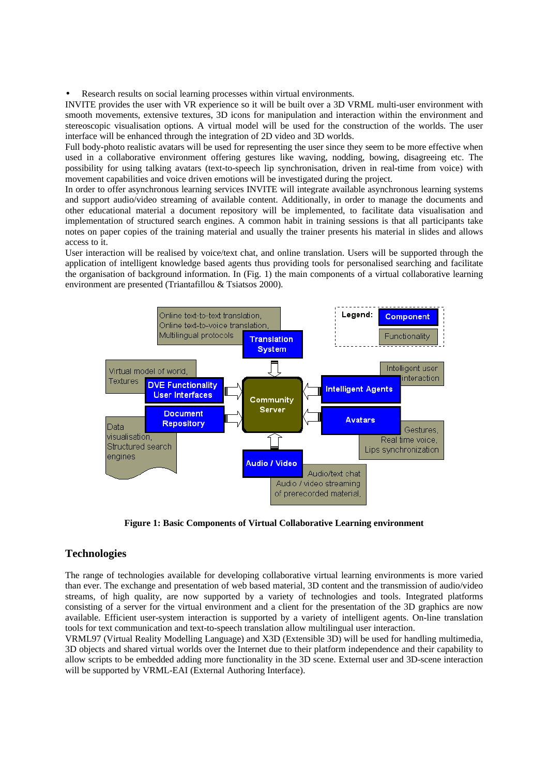Research results on social learning processes within virtual environments.

INVITE provides the user with VR experience so it will be built over a 3D VRML multi-user environment with smooth movements, extensive textures, 3D icons for manipulation and interaction within the environment and stereoscopic visualisation options. A virtual model will be used for the construction of the worlds. The user interface will be enhanced through the integration of 2D video and 3D worlds.

Full body-photo realistic avatars will be used for representing the user since they seem to be more effective when used in a collaborative environment offering gestures like waving, nodding, bowing, disagreeing etc. The possibility for using talking avatars (text-to-speech lip synchronisation, driven in real-time from voice) with movement capabilities and voice driven emotions will be investigated during the project.

In order to offer asynchronous learning services INVITE will integrate available asynchronous learning systems and support audio/video streaming of available content. Additionally, in order to manage the documents and other educational material a document repository will be implemented, to facilitate data visualisation and implementation of structured search engines. A common habit in training sessions is that all participants take notes on paper copies of the training material and usually the trainer presents his material in slides and allows access to it.

User interaction will be realised by voice/text chat, and online translation. Users will be supported through the application of intelligent knowledge based agents thus providing tools for personalised searching and facilitate the organisation of background information. In (Fig. 1) the main components of a virtual collaborative learning environment are presented (Triantafillou & Tsiatsos 2000).



**Figure 1: Basic Components of Virtual Collaborative Learning environment**

## **Technologies**

The range of technologies available for developing collaborative virtual learning environments is more varied than ever. The exchange and presentation of web based material, 3D content and the transmission of audio/video streams, of high quality, are now supported by a variety of technologies and tools. Integrated platforms consisting of a server for the virtual environment and a client for the presentation of the 3D graphics are now available. Efficient user-system interaction is supported by a variety of intelligent agents. On-line translation tools for text communication and text-to-speech translation allow multilingual user interaction.

VRML97 (Virtual Reality Modelling Language) and X3D (Extensible 3D) will be used for handling multimedia, 3D objects and shared virtual worlds over the Internet due to their platform independence and their capability to allow scripts to be embedded adding more functionality in the 3D scene. External user and 3D-scene interaction will be supported by VRML-EAI (External Authoring Interface).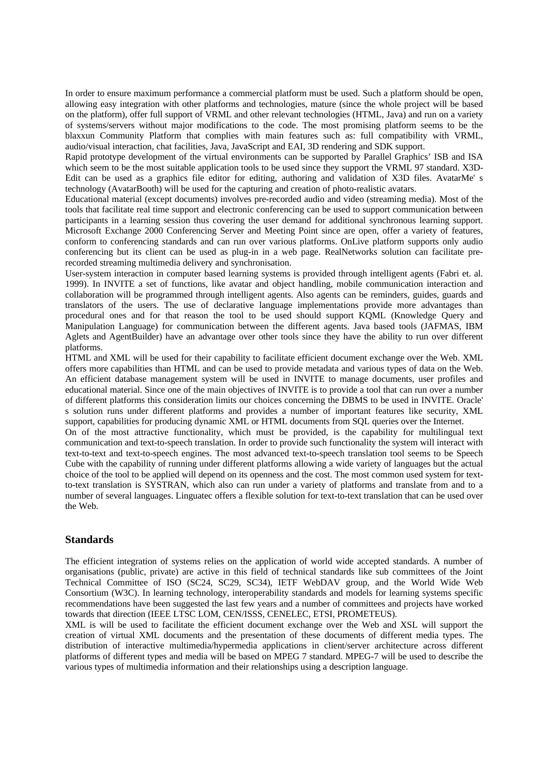In order to ensure maximum performance a commercial platform must be used. Such a platform should be open, allowing easy integration with other platforms and technologies, mature (since the whole project will be based on the platform), offer full support of VRML and other relevant technologies (HTML, Java) and run on a variety of systems/servers without major modifications to the code. The most promising platform seems to be the blaxxun Community Platform that complies with main features such as: full compatibility with VRML, audio/visual interaction, chat facilities, Java, JavaScript and EAI, 3D rendering and SDK support.

Rapid prototype development of the virtual environments can be supported by Parallel Graphics' ISB and ISA which seem to be the most suitable application tools to be used since they support the VRML 97 standard. X3D-Edit can be used as a graphics file editor for editing, authoring and validation of X3D files. AvatarMe' s technology (AvatarBooth) will be used for the capturing and creation of photo-realistic avatars.

Educational material (except documents) involves pre-recorded audio and video (streaming media). Most of the tools that facilitate real time support and electronic conferencing can be used to support communication between participants in a learning session thus covering the user demand for additional synchronous learning support. Microsoft Exchange 2000 Conferencing Server and Meeting Point since are open, offer a variety of features, conform to conferencing standards and can run over various platforms. OnLive platform supports only audio conferencing but its client can be used as plug-in in a web page. RealNetworks solution can facilitate prerecorded streaming multimedia delivery and synchronisation.

User-system interaction in computer based learning systems is provided through intelligent agents (Fabri et. al. 1999). In INVITE a set of functions, like avatar and object handling, mobile communication interaction and collaboration will be programmed through intelligent agents. Also agents can be reminders, guides, guards and translators of the users. The use of declarative language implementations provide more advantages than procedural ones and for that reason the tool to be used should support KQML (Knowledge Query and Manipulation Language) for communication between the different agents. Java based tools (JAFMAS, IBM Aglets and AgentBuilder) have an advantage over other tools since they have the ability to run over different platforms.

HTML and XML will be used for their capability to facilitate efficient document exchange over the Web. XML offers more capabilities than HTML and can be used to provide metadata and various types of data on the Web. An efficient database management system will be used in INVITE to manage documents, user profiles and educational material. Since one of the main objectives of INVITE is to provide a tool that can run over a number of different platforms this consideration limits our choices concerning the DBMS to be used in INVITE. Oracle' s solution runs under different platforms and provides a number of important features like security, XML support, capabilities for producing dynamic XML or HTML documents from SQL queries over the Internet.

On of the most attractive functionality, which must be provided, is the capability for multilingual text communication and text-to-speech translation. In order to provide such functionality the system will interact with text-to-text and text-to-speech engines. The most advanced text-to-speech translation tool seems to be Speech Cube with the capability of running under different platforms allowing a wide variety of languages but the actual choice of the tool to be applied will depend on its openness and the cost. The most common used system for textto-text translation is SYSTRAN, which also can run under a variety of platforms and translate from and to a number of several languages. Linguatec offers a flexible solution for text-to-text translation that can be used over the Web.

# **Standards**

The efficient integration of systems relies on the application of world wide accepted standards. A number of organisations (public, private) are active in this field of technical standards like sub committees of the Joint Technical Committee of ISO (SC24, SC29, SC34), IETF WebDAV group, and the World Wide Web Consortium (W3C). In learning technology, interoperability standards and models for learning systems specific recommendations have been suggested the last few years and a number of committees and projects have worked towards that direction (IEEE LTSC LOM, CEN/ISSS, CENELEC, ETSI, PROMETEUS).

XML is will be used to facilitate the efficient document exchange over the Web and XSL will support the creation of virtual XML documents and the presentation of these documents of different media types. The distribution of interactive multimedia/hypermedia applications in client/server architecture across different platforms of different types and media will be based on MPEG 7 standard. MPEG-7 will be used to describe the various types of multimedia information and their relationships using a description language.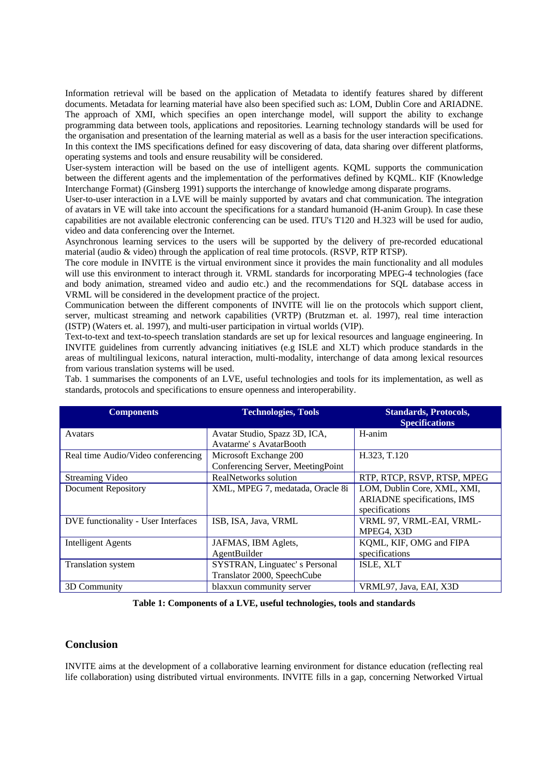Information retrieval will be based on the application of Metadata to identify features shared by different documents. Metadata for learning material have also been specified such as: LOM, Dublin Core and ARIADNE. The approach of XMI, which specifies an open interchange model, will support the ability to exchange programming data between tools, applications and repositories. Learning technology standards will be used for the organisation and presentation of the learning material as well as a basis for the user interaction specifications. In this context the IMS specifications defined for easy discovering of data, data sharing over different platforms, operating systems and tools and ensure reusability will be considered.

User-system interaction will be based on the use of intelligent agents. KQML supports the communication between the different agents and the implementation of the performatives defined by KQML. KIF (Knowledge Interchange Format) (Ginsberg 1991) supports the interchange of knowledge among disparate programs.

User-to-user interaction in a LVE will be mainly supported by avatars and chat communication. The integration of avatars in VE will take into account the specifications for a standard humanoid (H-anim Group). In case these capabilities are not available electronic conferencing can be used. ITU's T120 and H.323 will be used for audio, video and data conferencing over the Internet.

Asynchronous learning services to the users will be supported by the delivery of pre-recorded educational material (audio & video) through the application of real time protocols. (RSVP, RTP RTSP).

The core module in INVITE is the virtual environment since it provides the main functionality and all modules will use this environment to interact through it. VRML standards for incorporating MPEG-4 technologies (face and body animation, streamed video and audio etc.) and the recommendations for SQL database access in VRML will be considered in the development practice of the project.

Communication between the different components of INVITE will lie on the protocols which support client, server, multicast streaming and network capabilities (VRTP) (Brutzman et. al. 1997), real time interaction (ISTP) (Waters et. al. 1997), and multi-user participation in virtual worlds (VIP).

Text-to-text and text-to-speech translation standards are set up for lexical resources and language engineering. In INVITE guidelines from currently advancing initiatives (e.g ISLE and XLT) which produce standards in the areas of multilingual lexicons, natural interaction, multi-modality, interchange of data among lexical resources from various translation systems will be used.

| <b>Components</b>                   | <b>Technologies, Tools</b>                                   | <b>Standards, Protocols,</b><br><b>Specifications</b>                        |
|-------------------------------------|--------------------------------------------------------------|------------------------------------------------------------------------------|
| Avatars                             | Avatar Studio, Spazz 3D, ICA,<br>Avatarme's AvatarBooth      | H-anim                                                                       |
| Real time Audio/Video conferencing  | Microsoft Exchange 200<br>Conferencing Server, MeetingPoint  | H.323, T.120                                                                 |
| Streaming Video                     | RealNetworks solution                                        | RTP, RTCP, RSVP, RTSP, MPEG                                                  |
| <b>Document Repository</b>          | XML, MPEG 7, medatada, Oracle 8i                             | LOM, Dublin Core, XML, XMI,<br>ARIADNE specifications, IMS<br>specifications |
| DVE functionality - User Interfaces | ISB, ISA, Java, VRML                                         | VRML 97, VRML-EAI, VRML-<br>MPEG4, X3D                                       |
| <b>Intelligent Agents</b>           | JAFMAS, IBM Aglets,<br>AgentBuilder                          | KQML, KIF, OMG and FIPA<br>specifications                                    |
| Translation system                  | SYSTRAN, Linguatec's Personal<br>Translator 2000, SpeechCube | ISLE, XLT                                                                    |
| 3D Community                        | blaxxun community server                                     | VRML97, Java, EAI, X3D                                                       |

Tab. 1 summarises the components of an LVE, useful technologies and tools for its implementation, as well as standards, protocols and specifications to ensure openness and interoperability.

**Table 1: Components of a LVE, useful technologies, tools and standards**

#### **Conclusion**

INVITE aims at the development of a collaborative learning environment for distance education (reflecting real life collaboration) using distributed virtual environments. INVITE fills in a gap, concerning Networked Virtual